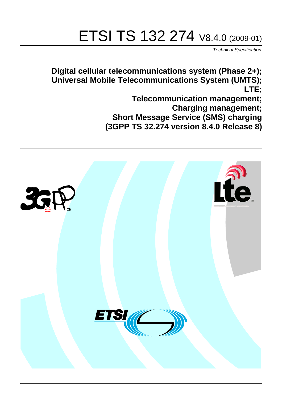# ETSI TS 132 274 V8.4.0 (2009-01)

*Technical Specification*

**Digital cellular telecommunications system (Phase 2+); Universal Mobile Telecommunications System (UMTS); LTE; Telecommunication management;**

**Charging management; Short Message Service (SMS) charging** 

**(3GPP TS 32.274 version 8.4.0 Release 8)**

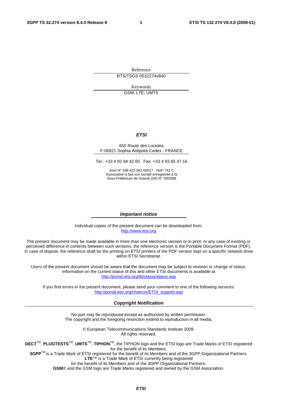Reference RTS/TSGS-0532274v840

Keywords

GSM, LTE, UMTS

#### *ETSI*

#### 650 Route des Lucioles F-06921 Sophia Antipolis Cedex - FRANCE

Tel.: +33 4 92 94 42 00 Fax: +33 4 93 65 47 16

Siret N° 348 623 562 00017 - NAF 742 C Association à but non lucratif enregistrée à la Sous-Préfecture de Grasse (06) N° 7803/88

#### *Important notice*

Individual copies of the present document can be downloaded from: [http://www.etsi.org](http://www.etsi.org/)

The present document may be made available in more than one electronic version or in print. In any case of existing or perceived difference in contents between such versions, the reference version is the Portable Document Format (PDF). In case of dispute, the reference shall be the printing on ETSI printers of the PDF version kept on a specific network drive within ETSI Secretariat.

Users of the present document should be aware that the document may be subject to revision or change of status. Information on the current status of this and other ETSI documents is available at <http://portal.etsi.org/tb/status/status.asp>

If you find errors in the present document, please send your comment to one of the following services: [http://portal.etsi.org/chaircor/ETSI\\_support.asp](http://portal.etsi.org/chaircor/ETSI_support.asp)

#### *Copyright Notification*

No part may be reproduced except as authorized by written permission. The copyright and the foregoing restriction extend to reproduction in all media.

> © European Telecommunications Standards Institute 2009. All rights reserved.

**DECT**TM, **PLUGTESTS**TM, **UMTS**TM, **TIPHON**TM, the TIPHON logo and the ETSI logo are Trade Marks of ETSI registered for the benefit of its Members.

**3GPP**TM is a Trade Mark of ETSI registered for the benefit of its Members and of the 3GPP Organizational Partners. **LTE**™ is a Trade Mark of ETSI currently being registered

for the benefit of its Members and of the 3GPP Organizational Partners.

**GSM**® and the GSM logo are Trade Marks registered and owned by the GSM Association.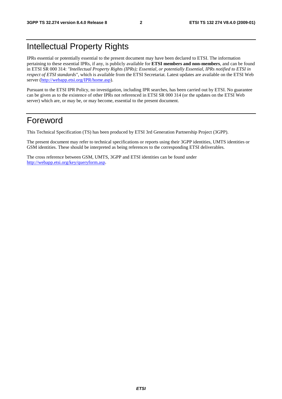## Intellectual Property Rights

IPRs essential or potentially essential to the present document may have been declared to ETSI. The information pertaining to these essential IPRs, if any, is publicly available for **ETSI members and non-members**, and can be found in ETSI SR 000 314: *"Intellectual Property Rights (IPRs); Essential, or potentially Essential, IPRs notified to ETSI in respect of ETSI standards"*, which is available from the ETSI Secretariat. Latest updates are available on the ETSI Web server [\(http://webapp.etsi.org/IPR/home.asp](http://webapp.etsi.org/IPR/home.asp)).

Pursuant to the ETSI IPR Policy, no investigation, including IPR searches, has been carried out by ETSI. No guarantee can be given as to the existence of other IPRs not referenced in ETSI SR 000 314 (or the updates on the ETSI Web server) which are, or may be, or may become, essential to the present document.

## Foreword

This Technical Specification (TS) has been produced by ETSI 3rd Generation Partnership Project (3GPP).

The present document may refer to technical specifications or reports using their 3GPP identities, UMTS identities or GSM identities. These should be interpreted as being references to the corresponding ETSI deliverables.

The cross reference between GSM, UMTS, 3GPP and ETSI identities can be found under <http://webapp.etsi.org/key/queryform.asp>.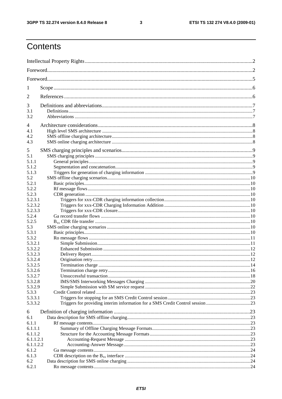$\mathbf{3}$ 

## Contents

| 1            |                                                                               |  |  |  |
|--------------|-------------------------------------------------------------------------------|--|--|--|
| 2            |                                                                               |  |  |  |
| 3            |                                                                               |  |  |  |
| 3.1          |                                                                               |  |  |  |
| 3.2          |                                                                               |  |  |  |
| 4            |                                                                               |  |  |  |
| 4.1          |                                                                               |  |  |  |
| 4.2          |                                                                               |  |  |  |
| 4.3          |                                                                               |  |  |  |
| 5            |                                                                               |  |  |  |
| 5.1          |                                                                               |  |  |  |
| 5.1.1        |                                                                               |  |  |  |
| 5.1.2        |                                                                               |  |  |  |
| 5.1.3        |                                                                               |  |  |  |
| 5.2          |                                                                               |  |  |  |
| 5.2.1        |                                                                               |  |  |  |
| 5.2.2        |                                                                               |  |  |  |
| 5.2.3        |                                                                               |  |  |  |
| 5.2.3.1      |                                                                               |  |  |  |
| 5.2.3.2      |                                                                               |  |  |  |
| 5.2.3.3      |                                                                               |  |  |  |
| 5.2.4        |                                                                               |  |  |  |
| 5.2.5        |                                                                               |  |  |  |
| 5.3<br>5.3.1 |                                                                               |  |  |  |
| 5.3.2        |                                                                               |  |  |  |
| 5.3.2.1      |                                                                               |  |  |  |
| 5.3.2.2      |                                                                               |  |  |  |
| 5.3.2.3      |                                                                               |  |  |  |
| 5.3.2.4      |                                                                               |  |  |  |
| 5.3.2.5      |                                                                               |  |  |  |
| 5.3.2.6      |                                                                               |  |  |  |
| 5.3.2.7      |                                                                               |  |  |  |
| 5.3.2.8      |                                                                               |  |  |  |
| 5.3.2.9      |                                                                               |  |  |  |
| 5.3.3        |                                                                               |  |  |  |
| 5.3.3.1      |                                                                               |  |  |  |
| 5.3.3.2      | Triggers for providing interim information for a SMS Credit Control session23 |  |  |  |
| 6            |                                                                               |  |  |  |
| 6.1          |                                                                               |  |  |  |
| 6.1.1        |                                                                               |  |  |  |
| 6.1.1.1      |                                                                               |  |  |  |
| 6.1.1.2      |                                                                               |  |  |  |
| 6.1.1.2.1    |                                                                               |  |  |  |
| 6.1.1.2.2    |                                                                               |  |  |  |
| 6.1.2        |                                                                               |  |  |  |
| 6.1.3        |                                                                               |  |  |  |
| 6.2          |                                                                               |  |  |  |
| 6.2.1        |                                                                               |  |  |  |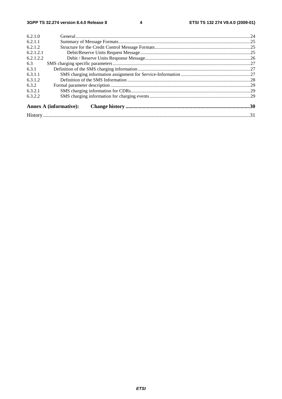$\overline{\mathbf{4}}$ 

| 6.2.1.0   |                               |  |  |  |  |
|-----------|-------------------------------|--|--|--|--|
| 6.2.1.1   |                               |  |  |  |  |
| 6.2.1.2   |                               |  |  |  |  |
| 6.2.1.2.1 |                               |  |  |  |  |
| 6.2.1.2.2 |                               |  |  |  |  |
| 6.3       |                               |  |  |  |  |
| 6.3.1     |                               |  |  |  |  |
| 6.3.1.1   |                               |  |  |  |  |
| 6.3.1.2   |                               |  |  |  |  |
| 6.3.2     |                               |  |  |  |  |
| 6.3.2.1   |                               |  |  |  |  |
| 6.3.2.2   |                               |  |  |  |  |
|           | <b>Annex A (informative):</b> |  |  |  |  |
|           |                               |  |  |  |  |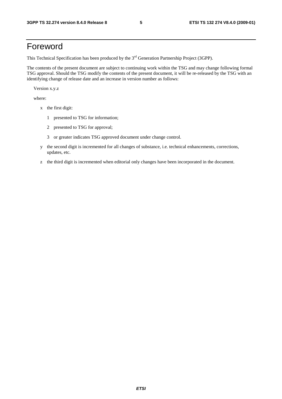## Foreword

This Technical Specification has been produced by the 3<sup>rd</sup> Generation Partnership Project (3GPP).

The contents of the present document are subject to continuing work within the TSG and may change following formal TSG approval. Should the TSG modify the contents of the present document, it will be re-released by the TSG with an identifying change of release date and an increase in version number as follows:

Version x.y.z

where:

- x the first digit:
	- 1 presented to TSG for information;
	- 2 presented to TSG for approval;
	- 3 or greater indicates TSG approved document under change control.
- y the second digit is incremented for all changes of substance, i.e. technical enhancements, corrections, updates, etc.
- z the third digit is incremented when editorial only changes have been incorporated in the document.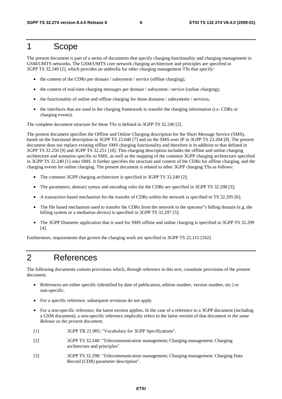## 1 Scope

The present document is part of a series of documents that specify charging functionality and charging management in GSM/UMTS networks. The GSM/UMTS core network charging architecture and principles are specified in 3GPP TS 32.240 [2], which provides an umbrella for other charging management TSs that specify:

- the content of the CDRs per domain / subsystem / service (offline charging);
- the content of real-time charging messages per domain / subsystem / service (online charging);
- the functionality of online and offline charging for those domains / subsystems / services;
- the interfaces that are used in the charging framework to transfer the charging information (i.e. CDRs or charging events).

The complete document structure for these TSs is defined in 3GPP TS 32.240 [2].

The present document specifies the Offline and Online Charging description for the Short Message Service (SMS), based on the functional description in 3GPP TS 23.040 [7] and on the SMS over IP in 3GPP TS 23.204 [8]. The present document does not replace existing offline SMS charging functionality and therefore is in addition to that defined in 3GPP TS 32.250 [9] and 3GPP TS 32.251 [10]. This charging description includes the offline and online charging architecture and scenarios specific to SMS, as well as the mapping of the common 3GPP charging architecture specified in 3GPP TS 32.240 [1] onto SMS. It further specifies the structure and content of the CDRs for offline charging, and the charging events for online charging. The present document is related to other 3GPP charging TSs as follows:

- The common 3GPP charging architecture is specified in 3GPP TS 32.240 [2];
- The parameters, abstract syntax and encoding rules for the CDRs are specified in 3GPP TS 32.298 [3];
- A transaction based mechanism for the transfer of CDRs within the network is specified in TS 32.295 [6];
- The file based mechanism used to transfer the CDRs from the network to the operator"s billing domain (e.g. the billing system or a mediation device) is specified in 3GPP TS 32.297 [5];
- The 3GPP Diameter application that is used for SMS offline and online charging is specified in 3GPP TS 32.299 [4].

Furthermore, requirements that govern the charging work are specified in 3GPP TS 22.115 [102].

## 2 References

The following documents contain provisions which, through reference in this text, constitute provisions of the present document.

- References are either specific (identified by date of publication, edition number, version number, etc.) or non-specific.
- For a specific reference, subsequent revisions do not apply.
- For a non-specific reference, the latest version applies. In the case of a reference to a 3GPP document (including a GSM document), a non-specific reference implicitly refers to the latest version of that document *in the same Release as the present document*.
- [1] 3GPP TR 21.905: "Vocabulary for 3GPP Specifications".
- [2] 3GPP TS 32.240: "Telecommunication management; Charging management; Charging architecture and principles".
- [3] 3GPP TS 32.298: "Telecommunication management; Charging management; Charging Data Record (CDR) parameter description".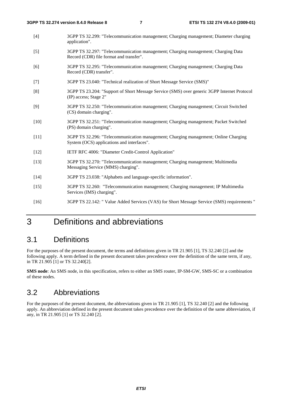- [4] 3GPP TS 32.299: "Telecommunication management; Charging management; Diameter charging application".
- [5] 3GPP TS 32.297: "Telecommunication management; Charging management; Charging Data Record (CDR) file format and transfer".
- [6] 3GPP TS 32.295: "Telecommunication management; Charging management; Charging Data Record (CDR) transfer".
- [7] 3GPP TS 23.040: "Technical realization of Short Message Service (SMS)"
- [8] 3GPP TS 23.204: "Support of Short Message Service (SMS) over generic 3GPP Internet Protocol (IP) access; Stage 2"
- [9] 3GPP TS 32.250: "Telecommunication management; Charging management; Circuit Switched (CS) domain charging".
- [10] 3GPP TS 32.251: "Telecommunication management; Charging management; Packet Switched (PS) domain charging".
- [11] 3GPP TS 32.296: "Telecommunication management; Charging management; Online Charging System (OCS) applications and interfaces".
- [12] IETF RFC 4006: "Diameter Credit-Control Application"
- [13] 3GPP TS 32.270: "Telecommunication management; Charging management; Multimedia Messaging Service (MMS) charging".
- [14] 3GPP TS 23.038: "Alphabets and language-specific information".
- [15] 3GPP TS 32.260: "Telecommunication management; Charging management; IP Multimedia Services (IMS) charging".
- [16] 3GPP TS 22.142: " Value Added Services (VAS) for Short Message Service (SMS) requirements "

## 3 Definitions and abbreviations

## 3.1 Definitions

For the purposes of the present document, the terms and definitions given in TR 21.905 [1], TS 32.240 [2] and the following apply. A term defined in the present document takes precedence over the definition of the same term, if any, in TR 21.905 [1] or TS 32.240[2].

**SMS node**: An SMS node, in this specification, refers to either an SMS router, IP-SM-GW, SMS-SC or a combination of these nodes.

### 3.2 Abbreviations

For the purposes of the present document, the abbreviations given in TR 21.905 [1], TS 32.240 [2] and the following apply. An abbreviation defined in the present document takes precedence over the definition of the same abbreviation, if any, in TR 21.905 [1] or TS 32.240 [2].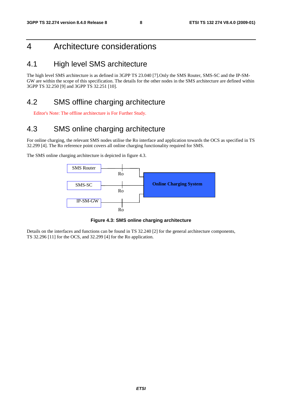## 4 Architecture considerations

## 4.1 High level SMS architecture

The high level SMS architecture is as defined in 3GPP TS 23.040 [7].Only the SMS Router, SMS-SC and the IP-SM-GW are within the scope of this specification. The details for the other nodes in the SMS architecture are defined within 3GPP TS 32.250 [9] and 3GPP TS 32.251 [10].

## 4.2 SMS offline charging architecture

Editor's Note: The offline architecture is For Further Study.

## 4.3 SMS online charging architecture

For online charging, the relevant SMS nodes utilise the Ro interface and application towards the OCS as specified in TS 32.299 [4]. The Ro reference point covers all online charging functionality required for SMS.

The SMS online charging architecture is depicted in figure 4.3.



**Figure 4.3: SMS online charging architecture** 

Details on the interfaces and functions can be found in TS 32.240 [2] for the general architecture components, TS 32.296 [11] for the OCS, and 32.299 [4] for the Ro application.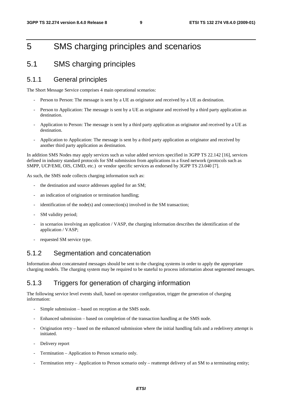## 5 SMS charging principles and scenarios

### 5.1 SMS charging principles

### 5.1.1 General principles

The Short Message Service comprises 4 main operational scenarios:

- Person to Person: The message is sent by a UE as originator and received by a UE as destination.
- Person to Application: The message is sent by a UE as originator and received by a third party application as destination.
- Application to Person: The message is sent by a third party application as originator and received by a UE as destination.
- Application to Application: The message is sent by a third party application as originator and received by another third party application as destination.

In addition SMS Nodes may apply services such as value added services specified in 3GPP TS 22.142 [16], services defined in industry standard protocols for SM submission from applications in a fixed network (protocols such as SMPP, UCP/EMI, OIS, CIMD, etc.) or vendor specific services as endorsed by 3GPP TS 23.040 [7].

As such, the SMS node collects charging information such as:

- the destination and source addresses applied for an SM;
- an indication of origination or termination handling;
- $i$ dentification of the node(s) and connection(s) involved in the SM transaction;
- SM validity period;
- in scenarios involving an application / VASP, the charging information describes the identification of the application / VASP;
- requested SM service type.

### 5.1.2 Segmentation and concatenation

Information about concatenated messages should be sent to the charging systems in order to apply the appropriate charging models. The charging system may be required to be stateful to process information about segmented messages.

### 5.1.3 Triggers for generation of charging information

The following service level events shall, based on operator configuration, trigger the generation of charging information:

- Simple submission based on reception at the SMS node.
- Enhanced submission based on completion of the transaction handling at the SMS node.
- Origination retry based on the enhanced submission where the initial handling fails and a redelivery attempt is initiated.
- Delivery report
- Termination Application to Person scenario only.
- Termination retry Application to Person scenario only reattempt delivery of an SM to a terminating entity;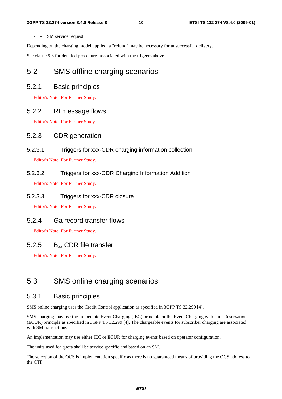- - SM service request.

Depending on the charging model applied, a "refund" may be necessary for unsuccessful delivery.

See clause 5.3 for detailed procedures associated with the triggers above.

## 5.2 SMS offline charging scenarios

### 5.2.1 Basic principles

Editor's Note: For Further Study.

### 5.2.2 Rf message flows

Editor's Note: For Further Study.

### 5.2.3 CDR generation

5.2.3.1 Triggers for xxx-CDR charging information collection

Editor's Note: For Further Study.

# 5.2.3.2 Triggers for xxx-CDR Charging Information Addition

Editor's Note: For Further Study.

5.2.3.3 Triggers for xxx-CDR closure

Editor's Note: For Further Study.

### 5.2.4 Ga record transfer flows

Editor's Note: For Further Study.

### 5.2.5  $B_{xx}$  CDR file transfer

Editor's Note: For Further Study.

## 5.3 SMS online charging scenarios

### 5.3.1 Basic principles

SMS online charging uses the Credit Control application as specified in 3GPP TS 32.299 [4].

SMS charging may use the Immediate Event Charging (IEC) principle or the Event Charging with Unit Reservation (ECUR) principle as specified in 3GPP TS 32.299 [4]. The chargeable events for subscriber charging are associated with SM transactions.

An implementation may use either IEC or ECUR for charging events based on operator configuration.

The units used for quota shall be service specific and based on an SM.

The selection of the OCS is implementation specific as there is no guaranteed means of providing the OCS address to the CTF.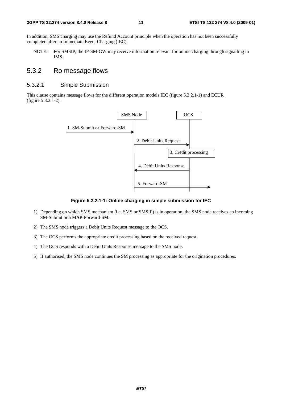#### **3GPP TS 32.274 version 8.4.0 Release 8 11 ETSI TS 132 274 V8.4.0 (2009-01)**

In addition, SMS charging may use the Refund Account principle when the operation has not been successfully completed after an Immediate Event Charging (IEC).

NOTE: For SMSIP, the IP-SM-GW may receive information relevant for online charging through signalling in IMS.

### 5.3.2 Ro message flows

### 5.3.2.1 Simple Submission

This clause contains message flows for the different operation models IEC (figure 5.3.2.1-1) and ECUR (figure 5.3.2.1-2).



**Figure 5.3.2.1-1: Online charging in simple submission for IEC** 

- 1) Depending on which SMS mechanism (i.e. SMS or SMSIP) is in operation, the SMS node receives an incoming SM-Submit or a MAP-Forward-SM.
- 2) The SMS node triggers a Debit Units Request message to the OCS.
- 3) The OCS performs the appropriate credit processing based on the received request.
- 4) The OCS responds with a Debit Units Response message to the SMS node.
- 5) If authorised, the SMS node continues the SM processing as appropriate for the origination procedures.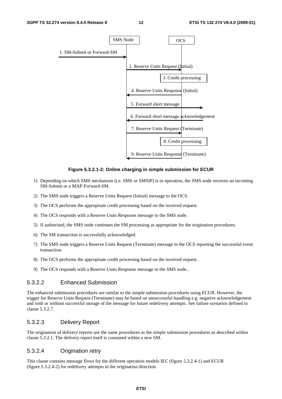

#### **Figure 5.3.2.1-2: Online charging in simple submission for ECUR**

- 1) Depending on which SMS mechanism (i.e. SMS or SMSIP) is in operation, the SMS node receives an incoming SM-Submit or a MAP-Forward-SM.
- 2) The SMS node triggers a Reserve Units Request (Initial) message to the OCS.
- 3) The OCS performs the appropriate credit processing based on the received request.
- 4) The OCS responds with a Reserve Units Response message to the SMS node.
- 5) If authorised, the SMS node continues the SM processing as appropriate for the origination procedures.
- 6) The SM transaction is successfully acknowledged.
- 7) The SMS node triggers a Reserve Units Request (Terminate) message to the OCS reporting the successful event transaction.
- 8) The OCS performs the appropriate credit processing based on the received request.
- 9) The OCS responds with a Reserve Units Response message to the SMS node..

### 5.3.2.2 Enhanced Submission

The enhanced submission procedures are similar to the simple submission procedures using ECUR. However, the trigger for Reserve Units Request (Terminate) may be based on unsuccessful handling e.g. negative acknowledgement and with or without successful storage of the message for future redelivery attempts. See failure scenarios defined in clause 5.3.2.7.

### 5.3.2.3 Delivery Report

The origination of delivery reports use the same procedures as the simple submission procedures as described within clause 5.3.2.1. The delivery report itself is contained within a new SM.

#### 5.3.2.4 Origination retry

This clause contains message flows for the different operation models IEC (figure 5.3.2.4-1) and ECUR (figure 5.3.2.4-2) for redelivery attempts in the origination direction.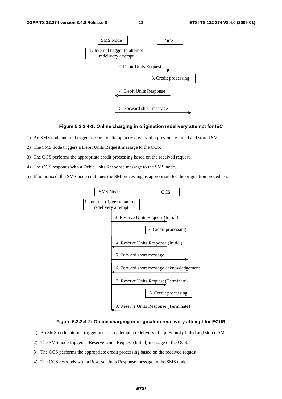

#### **Figure 5.3.2.4-1: Online charging in origination redelivery attempt for IEC**

- 1) An SMS node internal trigger occurs to attempt a redelivery of a previously failed and stored SM.
- 2) The SMS node triggers a Debit Units Request message to the OCS.
- 3) The OCS performs the appropriate credit processing based on the received request.
- 4) The OCS responds with a Debit Units Response message to the SMS node.
- 5) If authorised, the SMS node continues the SM processing as appropriate for the origination procedures.



#### **Figure 5.3.2.4-2: Online charging in origination redelivery attempt for ECUR**

- 1) An SMS node internal trigger occurs to attempt a redelivery of a previously failed and stored SM.
- 2) The SMS node triggers a Reserve Units Request (Initial) message to the OCS.
- 3) The OCS performs the appropriate credit processing based on the received request.
- 4) The OCS responds with a Reserve Units Response message to the SMS node.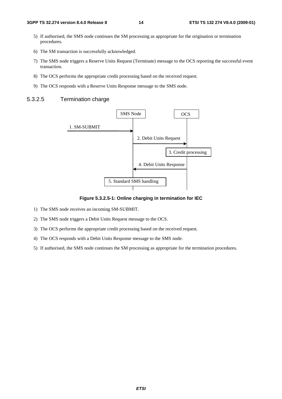- 5) If authorised, the SMS node continues the SM processing as appropriate for the origination or termination procedures.
- 6) The SM transaction is successfully acknowledged.
- 7) The SMS node triggers a Reserve Units Request (Terminate) message to the OCS reporting the successful event transaction.
- 8) The OCS performs the appropriate credit processing based on the received request.
- 9) The OCS responds with a Reserve Units Response message to the SMS node.

#### 5.3.2.5 Termination charge



#### **Figure 5.3.2.5-1: Online charging in termination for IEC**

- 1) The SMS node receives an incoming SM-SUBMIT.
- 2) The SMS node triggers a Debit Units Request message to the OCS.
- 3) The OCS performs the appropriate credit processing based on the received request.
- 4) The OCS responds with a Debit Units Response message to the SMS node.
- 5) If authorised, the SMS node continues the SM processing as appropriate for the termination procedures.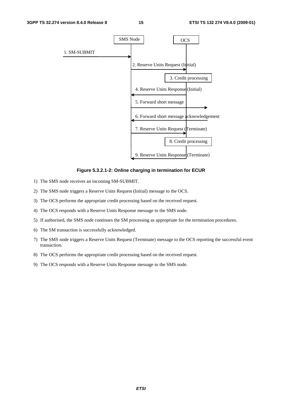

#### **Figure 5.3.2.1-2: Online charging in termination for ECUR**

- 1) The SMS node receives an incoming SM-SUBMIT.
- 2) The SMS node triggers a Reserve Units Request (Initial) message to the OCS.
- 3) The OCS performs the appropriate credit processing based on the received request.
- 4) The OCS responds with a Reserve Units Response message to the SMS node.
- 5) If authorised, the SMS node continues the SM processing as appropriate for the termination procedures.
- 6) The SM transaction is successfully acknowledged.
- 7) The SMS node triggers a Reserve Units Request (Terminate) message to the OCS reporting the successful event transaction.
- 8) The OCS performs the appropriate credit processing based on the received request.
- 9) The OCS responds with a Reserve Units Response message to the SMS node.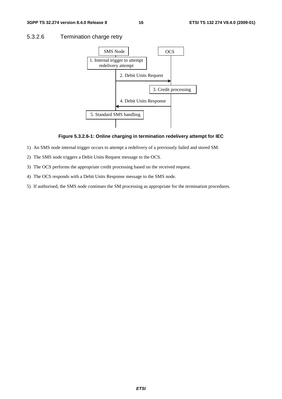### 5.3.2.6 Termination charge retry



#### **Figure 5.3.2.6-1: Online charging in termination redelivery attempt for IEC**

- 1) An SMS node internal trigger occurs to attempt a redelivery of a previously failed and stored SM.
- 2) The SMS node triggers a Debit Units Request message to the OCS.
- 3) The OCS performs the appropriate credit processing based on the received request.
- 4) The OCS responds with a Debit Units Response message to the SMS node.
- 5) If authorised, the SMS node continues the SM processing as appropriate for the termination procedures.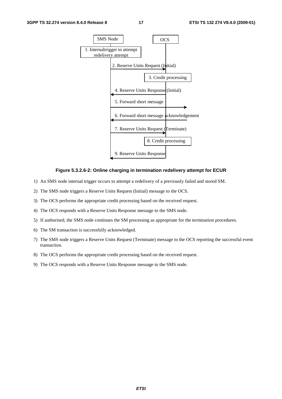

#### **Figure 5.3.2.6-2: Online charging in termination redelivery attempt for ECUR**

- 1) An SMS node internal trigger occurs to attempt a redelivery of a previously failed and stored SM.
- 2) The SMS node triggers a Reserve Units Request (Initial) message to the OCS.
- 3) The OCS performs the appropriate credit processing based on the received request.
- 4) The OCS responds with a Reserve Units Response message to the SMS node.
- 5) If authorised, the SMS node continues the SM processing as appropriate for the termination procedures.
- 6) The SM transaction is successfully acknowledged.
- 7) The SMS node triggers a Reserve Units Request (Terminate) message to the OCS reporting the successful event transaction.
- 8) The OCS performs the appropriate credit processing based on the received request.
- 9) The OCS responds with a Reserve Units Response message to the SMS node.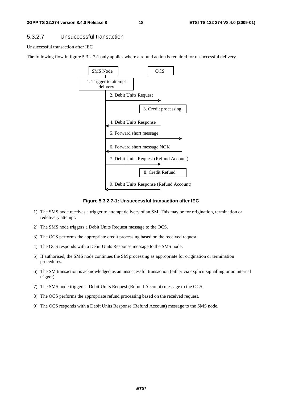#### 5.3.2.7 Unsuccessful transaction

Unsuccessful transaction after IEC

The following flow in figure 5.3.2.7-1 only applies where a refund action is required for unsuccessful delivery.



**Figure 5.3.2.7-1: Unsuccessful transaction after IEC** 

- 1) The SMS node receives a trigger to attempt delivery of an SM. This may be for origination, termination or redelivery attempt.
- 2) The SMS node triggers a Debit Units Request message to the OCS.
- 3) The OCS performs the appropriate credit processing based on the received request.
- 4) The OCS responds with a Debit Units Response message to the SMS node.
- 5) If authorised, the SMS node continues the SM processing as appropriate for origination or termination procedures.
- 6) The SM transaction is acknowledged as an unsuccessful transaction (either via explicit signalling or an internal trigger).
- 7) The SMS node triggers a Debit Units Request (Refund Account) message to the OCS.
- 8) The OCS performs the appropriate refund processing based on the received request.
- 9) The OCS responds with a Debit Units Response (Refund Account) message to the SMS node.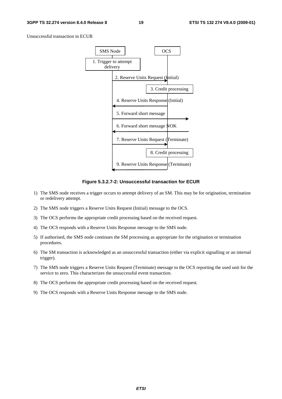Unsuccessful transaction in ECUR



**Figure 5.3.2.7-2: Unsuccessful transaction for ECUR** 

- 1) The SMS node receives a trigger occurs to attempt delivery of an SM. This may be for origination, termination or redelivery attempt.
- 2) The SMS node triggers a Reserve Units Request (Initial) message to the OCS.
- 3) The OCS performs the appropriate credit processing based on the received request.
- 4) The OCS responds with a Reserve Units Response message to the SMS node.
- 5) If authorised, the SMS node continues the SM processing as appropriate for the origination or termination procedures.
- 6) The SM transaction is acknowledged as an unsuccessful transaction (either via explicit signalling or an internal trigger).
- 7) The SMS node triggers a Reserve Units Request (Terminate) message to the OCS reporting the used unit for the service to zero. This characterizes the unsuccessful event transaction.
- 8) The OCS performs the appropriate credit processing based on the received request.
- 9) The OCS responds with a Reserve Units Response message to the SMS node.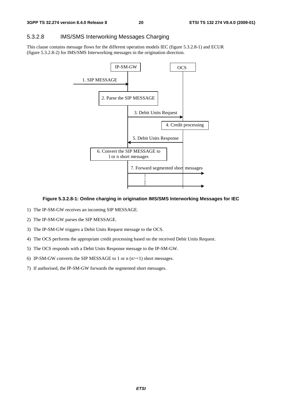### 5.3.2.8 IMS/SMS Interworking Messages Charging

This clause contains message flows for the different operation models IEC (figure 5.3.2.8-1) and ECUR (figure 5.3.2.8-2) for IMS/SMS Interworking messages in the origination direction.



#### **Figure 5.3.2.8-1: Online charging in origination IMS/SMS Interworking Messages for IEC**

- 1) The IP-SM-GW receives an incoming SIP MESSAGE.
- 2) The IP-SM-GW parses the SIP MESSAGE.
- 3) The IP-SM-GW triggers a Debit Units Request message to the OCS.
- 4) The OCS performs the appropriate credit processing based on the received Debit Units Request.
- 5) The OCS responds with a Debit Units Response message to the IP-SM-GW.
- 6) IP-SM-GW converts the SIP MESSAGE to 1 or  $n(n>=1)$  short messages.
- 7) If authorised, the IP-SM-GW forwards the segmented short messages.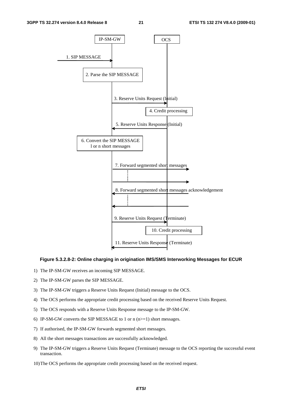

#### **Figure 5.3.2.8-2: Online charging in origination IMS/SMS Interworking Messages for ECUR**

- 1) The IP-SM-GW receives an incoming SIP MESSAGE.
- 2) The IP-SM-GW parses the SIP MESSAGE.
- 3) The IP-SM-GW triggers a Reserve Units Request (Initial) message to the OCS.
- 4) The OCS performs the appropriate credit processing based on the received Reserve Units Request.
- 5) The OCS responds with a Reserve Units Response message to the IP-SM-GW.
- 6) IP-SM-GW converts the SIP MESSAGE to 1 or  $n (n>=1)$  short messages.
- 7) If authorised, the IP-SM-GW forwards segmented short messages.
- 8) All the short messages transactions are successfully acknowledged.
- 9) The IP-SM-GW triggers a Reserve Units Request (Terminate) message to the OCS reporting the successful event transaction.
- 10) The OCS performs the appropriate credit processing based on the received request.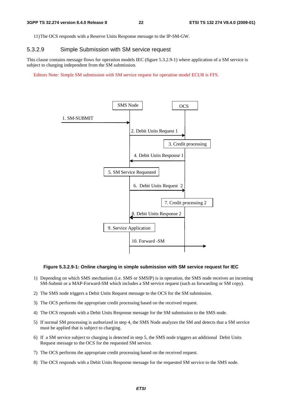11) The OCS responds with a Reserve Units Response message to the IP-SM-GW.

### 5.3.2.9 Simple Submission with SM service request

This clause contains message flows for operation models IEC (figure 5.3.2.9-1) where application of a SM service is subject to charging independent from the SM submission.

Editors Note: Simple SM submission with SM service request for operation model ECUR is FFS.



#### **Figure 5.3.2.9-1: Online charging in simple submission with SM service request for IEC**

- 1) Depending on which SMS mechanism (i.e. SMS or SMSIP) is in operation, the SMS node receives an incoming SM-Submit or a MAP-Forward-SM which includes a SM service request (such as forwarding or SM copy).
- 2) The SMS node triggers a Debit Units Request message to the OCS for the SM submission.
- 3) The OCS performs the appropriate credit processing based on the received request.
- 4) The OCS responds with a Debit Units Response message for the SM submission to the SMS node.
- 5) If normal SM processing is authorized in step 4, the SMS Node analyzes the SM and detects that a SM service must be applied that is subject to charging.
- 6) If a SM service subject to charging is detected in step 5, the SMS node triggers an additional Debit Units Request message to the OCS for the requested SM service.
- 7) The OCS performs the appropriate credit processing based on the received request.
- 8) The OCS responds with a Debit Units Response message for the requested SM service to the SMS node.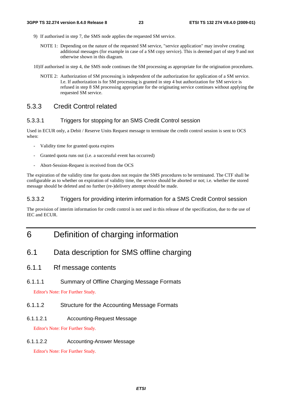- 9) If authorised in step 7, the SMS node applies the requested SM service.
	- NOTE 1: Depending on the nature of the requested SM service, "service application" may involve creating additional messages (for example in case of a SM copy service). This is deemed part of step 9 and not otherwise shown in this diagram.

10) If authorised in step 4, the SMS node continues the SM processing as appropriate for the origination procedures.

NOTE 2: Authorization of SM processing is independent of the authorization for application of a SM service. I.e. If authorization is for SM processing is granted in step 4 but authorization for SM service is refused in step 8 SM processing appropriate for the originating service continues without applying the requested SM service.

### 5.3.3 Credit Control related

### 5.3.3.1 Triggers for stopping for an SMS Credit Control session

Used in ECUR only, a Debit / Reserve Units Request message to terminate the credit control session is sent to OCS when:

- Validity time for granted quota expires
- Granted quota runs out (i.e. a successful event has occurred)
- Abort-Session-Request is received from the OCS

The expiration of the validity time for quota does not require the SMS procedures to be terminated. The CTF shall be configurable as to whether on expiration of validity time, the service should be aborted or not; i.e. whether the stored message should be deleted and no further (re-)delivery attempt should be made.

### 5.3.3.2 Triggers for providing interim information for a SMS Credit Control session

The provision of interim information for credit control is not used in this release of the specification, due to the use of IEC and ECUR.

## 6 Definition of charging information

- 6.1 Data description for SMS offline charging
- 6.1.1 Rf message contents
- 6.1.1.1 Summary of Offline Charging Message Formats

Editor's Note: For Further Study.

- 6.1.1.2 Structure for the Accounting Message Formats
- 6.1.1.2.1 Accounting-Request Message

Editor's Note: For Further Study.

### 6.1.1.2.2 Accounting-Answer Message

Editor's Note: For Further Study.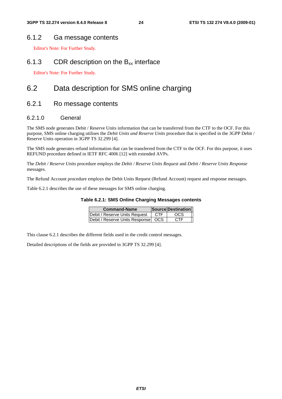### 6.1.2 Ga message contents

Editor's Note: For Further Study.

### 6.1.3 CDR description on the  $B_{xx}$  interface

Editor's Note: For Further Study.

## 6.2 Data description for SMS online charging

### 6.2.1 Ro message contents

### 6.2.1.0 General

The SMS node generates Debit / Reserve Units information that can be transferred from the CTF to the OCF. For this purpose, SMS online charging utilises the *Debit Units and Reserve Units* procedure that is specified in the 3GPP Debit / Reserve Units operation in 3GPP TS 32.299 [4].

The SMS node generates refund information that can be transferred from the CTF to the OCF. For this purpose, it uses REFUND procedure defined in IETF RFC 4006 [12] with extended AVPs.

The *Debit / Reserve Units* procedure employs the *Debit / Reserve Units Request* and *Debit / Reserve Units Response* messages.

The Refund Account procedure employs the Debit Units Request (Refund Account) request and response messages.

Table 6.2.1 describes the use of these messages for SMS online charging.

#### **Table 6.2.1: SMS Online Charging Messages contents**

| <b>Command-Name</b>                  |            | Source Destination |
|--------------------------------------|------------|--------------------|
| Debit / Reserve Units Request        | <b>CTF</b> | <b>OCS</b>         |
| Debit / Reserve Units Response   OCS |            | <b>CTF</b>         |

This clause 6.2.1 describes the different fields used in the credit control messages.

Detailed descriptions of the fields are provided in 3GPP TS 32.299 [4].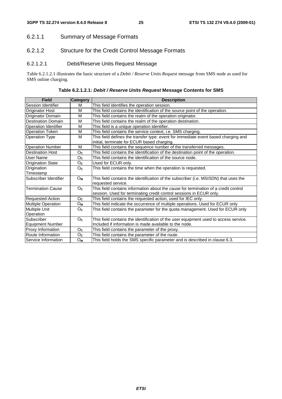### 6.2.1.1 Summary of Message Formats

### 6.2.1.2 Structure for the Credit Control Message Formats

### 6.2.1.2.1 Debit/Reserve Units Request Message

Table 6.2.1.2.1 illustrates the basic structure of a *Debit / Reserve Units Request* message from SMS node as used for SMS online charging.

| <b>Field</b>                | Category         | <b>Description</b>                                                                                                                                         |
|-----------------------------|------------------|------------------------------------------------------------------------------------------------------------------------------------------------------------|
| <b>Session Identifier</b>   | м                | This field identifies the operation session.                                                                                                               |
| <b>Originator Host</b>      | M                | This field contains the identification of the source point of the operation.                                                                               |
| Originator Domain           | M                | This field contains the realm of the operation originator.                                                                                                 |
| <b>Destination Domain</b>   | M                | This field contains the realm of the operation destination.                                                                                                |
| <b>Operation Identifier</b> | M                | This field is a unique operation identifier.                                                                                                               |
| <b>Operation Token</b>      | M                | This field contains the service context, i.e. SMS charging.                                                                                                |
| <b>Operation Type</b>       | M                | This field defines the transfer type: event for immediate event based charging and<br>initial, terminate for ECUR based charging.                          |
| <b>Operation Number</b>     | M                | This field contains the sequence number of the transferred messages.                                                                                       |
| <b>Destination Host</b>     | Oc               | This field contains the identification of the destination point of the operation.                                                                          |
| User Name                   | O <sub>c</sub>   | This field contains the identification of the source node.                                                                                                 |
| <b>Origination State</b>    | Oc               | Used for ECUR only.                                                                                                                                        |
| Origination                 | Oc               | This field contains the time when the operation is requested.                                                                                              |
| Timestamp                   |                  |                                                                                                                                                            |
| Subscriber Identifier       | Oм               | This field contains the identification of the subscriber (i.e. MSISDN) that uses the<br>requested service.                                                 |
| <b>Termination Cause</b>    | O <sub>c</sub>   | This field contains information about the cause for termination of a credit control<br>session. Used for terminating credit control sessions in ECUR only. |
| Requested-Action            | $O_{\mathbf{C}}$ | This field contains the requested action, used for IEC only.                                                                                               |
| Multiple Operation          | Oм               | This field indicate the occurrence of multiple operations. Used for ECUR only                                                                              |
| Multiple Unit               | $O_{\mathbf{C}}$ | This field contains the parameter for the quota management. Used for ECUR only                                                                             |
| Operation                   |                  |                                                                                                                                                            |
| Subscriber                  | O <sub>c</sub>   | This field contains the identification of the user equipment used to access service.                                                                       |
| <b>Equipment Number</b>     |                  | Included if information is made available to the node.                                                                                                     |
| Proxy Information           | Oc               | This field contains the parameter of the proxy.                                                                                                            |
| Route Information           | $O_{\mathbf{C}}$ | This field contains the parameter of the route.                                                                                                            |
| Service Information         | Oм               | This field holds the SMS specific parameter and is described in clause 6.3.                                                                                |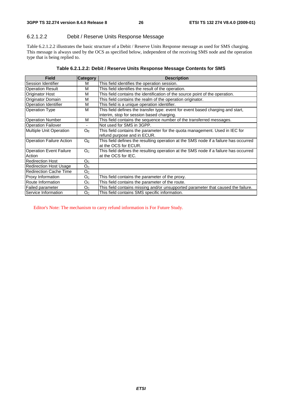### 6.2.1.2.2 Debit / Reserve Units Response Message

Table 6.2.1.2.2 illustrates the basic structure of a Debit / Reserve Units Response message as used for SMS charging. This message is always used by the OCS as specified below, independent of the receiving SMS node and the operation type that is being replied to.

| <b>Field</b>                             | Category         | <b>Description</b>                                                                                                           |
|------------------------------------------|------------------|------------------------------------------------------------------------------------------------------------------------------|
| Session Identifier                       | м                | This field identifies the operation session.                                                                                 |
| <b>Operation Result</b>                  | м                | This field identifies the result of the operation.                                                                           |
| <b>Originator Host</b>                   | М                | This field contains the identification of the source point of the operation.                                                 |
| <b>Originator Domain</b>                 | М                | This field contains the realm of the operation originator.                                                                   |
| <b>Operation Identifier</b>              | М                | This field is a unique operation identifier.                                                                                 |
| <b>Operation Type</b>                    | М                | This field defines the transfer type: event for event based charging and start,<br>interim, stop for session based charging. |
| <b>Operation Number</b>                  | м                | This field contains the sequence number of the transferred messages.                                                         |
| <b>Operation Failover</b>                |                  | Not used for SMS in 3GPP.                                                                                                    |
| Multiple Unit Operation                  | Oc.              | This field contains the parameter for the quota management. Used in IEC for<br>refund purpose and in ECUR.                   |
| <b>Operation Failure Action</b>          | $O_{\mathbf{C}}$ | This field defines the resulting operation at the SMS node if a failure has occurred<br>at the OCS for ECUR.                 |
| <b>Operation Event Failure</b><br>Action | O <sub>C</sub>   | This field defines the resulting operation at the SMS node if a failure has occurred<br>at the OCS for IEC.                  |
| Redirection Host                         | O <sub>C</sub>   |                                                                                                                              |
| <b>Redirection Host Usage</b>            | O <sub>C</sub>   |                                                                                                                              |
| <b>Redirection Cache Time</b>            | O <sub>C</sub>   |                                                                                                                              |
| <b>Proxy Information</b>                 | $O_{\mathbb{C}}$ | This field contains the parameter of the proxy.                                                                              |
| Route Information                        | $O_{\rm C}$      | This field contains the parameter of the route.                                                                              |
| <b>Failed parameter</b>                  | $O_{C}$          | This field contains missing and/or unsupported parameter that caused the failure.                                            |
| Service Information                      | O <sub>C</sub>   | This field contains SMS specific information.                                                                                |

Editor's Note: The mechanism to carry refund information is For Future Study.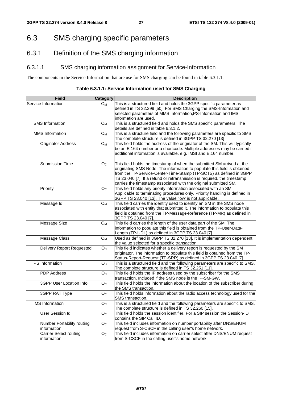## 6.3 SMS charging specific parameters

## 6.3.1 Definition of the SMS charging information

### 6.3.1.1 SMS charging information assignment for Service-Information

The components in the Service Information that are use for SMS charging can be found in table 6.3.1.1.

**Table 6.3.1.1: Service Information used for SMS Charging** 

| <b>Field</b>                              | <b>Category</b>    | <b>Description</b>                                                                                                                                                                                                                                                                                                                                                      |
|-------------------------------------------|--------------------|-------------------------------------------------------------------------------------------------------------------------------------------------------------------------------------------------------------------------------------------------------------------------------------------------------------------------------------------------------------------------|
| Service Information                       | $O_{M}$            | This is a structured field and holds the 3GPP specific parameter as<br>defined in TS 32.299 [50]. For SMS Charging the SMS-Information and<br>selected parameters of MMS Information, PS-Information and IMS<br>information are used.                                                                                                                                   |
| <b>SMS</b> Information                    | $O_M$              | This is a structured field and holds the SMS specific parameters. The<br>details are defined in table 6.3.1.2.                                                                                                                                                                                                                                                          |
| <b>MMS</b> Information                    | $O_{M}$            | This is a structure field and the following parameters are specific to SMS.<br>The complete structure is defined in 3GPP TS 32.270 [13]                                                                                                                                                                                                                                 |
| <b>Originator Address</b>                 | $O_{M}$            | This field holds the address of the originator of the SM. This will typically<br>be an E.164 number or a shortcode. Multiple addresses may be carried if<br>additional information is available, e.g. IMSI and E.164 number.                                                                                                                                            |
|                                           |                    |                                                                                                                                                                                                                                                                                                                                                                         |
| <b>Submission Time</b>                    | $\overline{O_{C}}$ | This field holds the timestamp of when the submitted SM arrived at the<br>originating SMS Node. The information to populate this field is obtained<br>from the TP-Service-Center-Time-Stamp (TP-SCTS) as defined in 3GPP<br>TS 23.040 [7]. If a refund or retransmission is required, the timestamp<br>carries the timestamp associated with the original submitted SM. |
| Priority                                  | O <sub>C</sub>     | This field holds any priority information associated with an SM.<br>Applicable to terminating procedures only. Priority handling is defined in<br>3GPP TS 23.040 [13]. The value 'low' is not applicable.                                                                                                                                                               |
| Message Id                                | $\overline{O_M}$   | This field carries the identity used to identify an SM in the SMS node<br>associated with entity that submitted it. The information to populate this<br>field is obtained from the TP-Message-Reference (TP-MR) as defined in<br>3GPP TS 23.040 [7].                                                                                                                    |
| Message Size                              | <b>OM</b>          | This field carries the length of the user data part of the SM. The<br>information to populate this field is obtained from the TP-User-Data-<br>Length (TP-UDL) as defined in 3GPP TS 23.040 [7]                                                                                                                                                                         |
| <b>Message Class</b>                      | $O_{M}$            | Used as defined in 3GPP TS 32.270 [13]. It is implementation dependent<br>the value selected for a specific transaction.                                                                                                                                                                                                                                                |
| <b>Delivery Report Requested</b>          | O <sub>C</sub>     | This field indicates whether a delivery report is requested by the SM<br>originator. The information to populate this field is obtained from the TP-<br>Status-Report-Request (TP-SRR) as defined in 3GPP TS 23.040 [7]                                                                                                                                                 |
| PS Information                            | $\overline{O_{C}}$ | This is a structured field and the following parameters are specific to SMS.<br>The complete structure is defined in TS 32.251 [11].                                                                                                                                                                                                                                    |
| <b>PDP Address</b>                        | O <sub>C</sub>     | This field holds the IP address used by the subscriber for the SMS<br>transaction. Included if the SMS node is the IP-SM-GW.                                                                                                                                                                                                                                            |
| 3GPP User Location Info                   | O <sub>C</sub>     | This field holds the information about the location of the subscriber during<br>the SMS transaction.                                                                                                                                                                                                                                                                    |
| 3GPP RAT Type                             | O <sub>C</sub>     | This field holds information about the radio access technology used for the<br>SMS transaction.                                                                                                                                                                                                                                                                         |
| <b>IMS</b> Information                    | O <sub>C</sub>     | This is a structured field and the following parameters are specific to SMS.<br>The complete structure is defined in TS 32.260 [15].                                                                                                                                                                                                                                    |
| <b>User Session Id</b>                    | $\overline{O_{C}}$ | This field holds the session identifier. For a SIP session the Session-ID<br>contains the SIP Call ID.                                                                                                                                                                                                                                                                  |
| Number Portability routing<br>information | O <sub>C</sub>     | This field includes information on number portability after DNS/ENUM<br>request from S-CSCF in the calling user"s home network.                                                                                                                                                                                                                                         |
| <b>Carrier Select routing</b>             | O <sub>C</sub>     | This field includes information on carrier select after DNS/ENUM request                                                                                                                                                                                                                                                                                                |
| information                               |                    | from S-CSCF in the calling user"s home network.                                                                                                                                                                                                                                                                                                                         |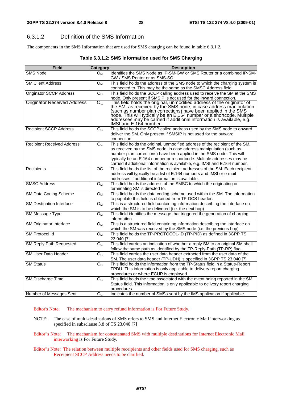### 6.3.1.2 Definition of the SMS Information

The components in the SMS Information that are used for SMS charging can be found in table 6.3.1.2.

| Table 6.3.1.2: SMS Information used for SMS Charging |  |
|------------------------------------------------------|--|
|------------------------------------------------------|--|

| Identifies the SMS Node as IP-SM-GW or SMS Router or a combined IP-SM-<br>$O_M$<br>GW / SMS Router or as SMS-SC.<br>This field holds the address of the SMS node to which the charging system is<br><b>SM Client Address</b><br>$O_M$<br>connected to. This may be the same as the SMSC Address field.<br>This field holds the SCCP calling address used to receive the SM at the SMS<br><b>Originator SCCP Address</b><br>O <sub>c</sub><br>node. Only present if SMSIP is not used for the inward connection.<br>This field holds the original, unmodified address of the originator of<br>the SM, as received by the SMS node, in case address manipulation<br><b>Originator Received Address</b><br>$O_{C}$<br>(such as number plan corrections) have been applied in the SMS<br>node. This will typically be an E.164 number or a shortcode. Multiple<br>addresses may be carried if additional information is available, e.g.<br>IMSI and E.164 number.<br>This field holds the SCCP called address used by the SMS node to onward<br><b>Recipient SCCP Address</b><br>O <sub>C</sub><br>deliver the SM. Only present if SMSIP is not used for the outward<br>connection.<br><b>Recipient Received Address</b><br>This field holds the original, unmodified address of the recipient of the SM,<br>O <sub>c</sub><br>as received by the SMS node, in case address manipulation (such as<br>number plan corrections) have been applied in the SMS node. This will<br>typically be an E.164 number or a shortcode. Multiple addresses may be<br>carried if additional information is available, e.g. IMSI and E.164 number.<br>ОC<br>This field holds the list of the recipient addresses of the SM. Each recipient<br>address will typically be a list of E.164 numbers and IMSI or e-mail<br>addresses if additional information is available.<br><b>SMSC Address</b><br>This field holds the address of the SMSC to which the originating or<br>Oм<br>terminating SM is directed to.<br>This field holds the data coding scheme used within the SM. The information<br>SM Data Coding Scheme<br>O <sub>M</sub><br>to populate this field is obtained from TP-DCS header.<br><b>SM Destination Interface</b><br>This is a structured field containing information describing the interface on<br>O <sub>M</sub><br>which the SM is to be delivered (i.e. the next hop)<br>This field identifies the message that triggered the generation of charging<br>SM Message Type<br>$O_{M}$<br>information.<br>SM Originator Interface<br>This is a structured field containing information describing the interface on<br>$O_{M}$<br>which the SM was received by the SMS node (i.e. the previous hop)<br>This field holds the TP-PROTOCOL-ID (TP-PID) as defined in 3GPP TS<br>SM Protocol Id<br>$O_{M}$<br>23.040 [7]<br><b>SM Reply Path Requested</b><br>This field carries an indication of whether a reply SM to an original SM shall<br>O <sub>C</sub><br>follow the same path as identified by the TP-Reply-Path (TP-RP) flag.<br>This field carries the user data header extracted from the user data of the<br><b>SM User Data Header</b><br>O <sub>C</sub><br>SM. The user data header (TP-UDH) is specified in 3GPP TS 23.040 [7]<br><b>SM Status</b><br>This field holds the information from the TP-Status field in a Status-Report<br>$\mathsf{O}_\mathbb{C}$<br>TPDU. This information is only applicable to delivery report charging<br>procedures or where ECUR is employed.<br>SM Discharge Time<br>This field holds the time associated with the event being reported in the SM<br>O <sub>C</sub><br>Status field. This information is only applicable to delivery report charging<br>procedures. | <b>Field</b>            | <b>Category</b> | <b>Description</b>                                                      |
|----------------------------------------------------------------------------------------------------------------------------------------------------------------------------------------------------------------------------------------------------------------------------------------------------------------------------------------------------------------------------------------------------------------------------------------------------------------------------------------------------------------------------------------------------------------------------------------------------------------------------------------------------------------------------------------------------------------------------------------------------------------------------------------------------------------------------------------------------------------------------------------------------------------------------------------------------------------------------------------------------------------------------------------------------------------------------------------------------------------------------------------------------------------------------------------------------------------------------------------------------------------------------------------------------------------------------------------------------------------------------------------------------------------------------------------------------------------------------------------------------------------------------------------------------------------------------------------------------------------------------------------------------------------------------------------------------------------------------------------------------------------------------------------------------------------------------------------------------------------------------------------------------------------------------------------------------------------------------------------------------------------------------------------------------------------------------------------------------------------------------------------------------------------------------------------------------------------------------------------------------------------------------------------------------------------------------------------------------------------------------------------------------------------------------------------------------------------------------------------------------------------------------------------------------------------------------------------------------------------------------------------------------------------------------------------------------------------------------------------------------------------------------------------------------------------------------------------------------------------------------------------------------------------------------------------------------------------------------------------------------------------------------------------------------------------------------------------------------------------------------------------------------------------------------------------------------------------------------------------------------------------------------------------------------------------------------------------------------------------------------------------------------------------------------------------------------------------------------------------------------------------------------------------------------------------------------------------------------------------------------------------------------------------------------------------------------------------------|-------------------------|-----------------|-------------------------------------------------------------------------|
|                                                                                                                                                                                                                                                                                                                                                                                                                                                                                                                                                                                                                                                                                                                                                                                                                                                                                                                                                                                                                                                                                                                                                                                                                                                                                                                                                                                                                                                                                                                                                                                                                                                                                                                                                                                                                                                                                                                                                                                                                                                                                                                                                                                                                                                                                                                                                                                                                                                                                                                                                                                                                                                                                                                                                                                                                                                                                                                                                                                                                                                                                                                                                                                                                                                                                                                                                                                                                                                                                                                                                                                                                                                                                                                      | <b>SMS Node</b>         |                 |                                                                         |
|                                                                                                                                                                                                                                                                                                                                                                                                                                                                                                                                                                                                                                                                                                                                                                                                                                                                                                                                                                                                                                                                                                                                                                                                                                                                                                                                                                                                                                                                                                                                                                                                                                                                                                                                                                                                                                                                                                                                                                                                                                                                                                                                                                                                                                                                                                                                                                                                                                                                                                                                                                                                                                                                                                                                                                                                                                                                                                                                                                                                                                                                                                                                                                                                                                                                                                                                                                                                                                                                                                                                                                                                                                                                                                                      |                         |                 |                                                                         |
|                                                                                                                                                                                                                                                                                                                                                                                                                                                                                                                                                                                                                                                                                                                                                                                                                                                                                                                                                                                                                                                                                                                                                                                                                                                                                                                                                                                                                                                                                                                                                                                                                                                                                                                                                                                                                                                                                                                                                                                                                                                                                                                                                                                                                                                                                                                                                                                                                                                                                                                                                                                                                                                                                                                                                                                                                                                                                                                                                                                                                                                                                                                                                                                                                                                                                                                                                                                                                                                                                                                                                                                                                                                                                                                      |                         |                 |                                                                         |
|                                                                                                                                                                                                                                                                                                                                                                                                                                                                                                                                                                                                                                                                                                                                                                                                                                                                                                                                                                                                                                                                                                                                                                                                                                                                                                                                                                                                                                                                                                                                                                                                                                                                                                                                                                                                                                                                                                                                                                                                                                                                                                                                                                                                                                                                                                                                                                                                                                                                                                                                                                                                                                                                                                                                                                                                                                                                                                                                                                                                                                                                                                                                                                                                                                                                                                                                                                                                                                                                                                                                                                                                                                                                                                                      |                         |                 |                                                                         |
|                                                                                                                                                                                                                                                                                                                                                                                                                                                                                                                                                                                                                                                                                                                                                                                                                                                                                                                                                                                                                                                                                                                                                                                                                                                                                                                                                                                                                                                                                                                                                                                                                                                                                                                                                                                                                                                                                                                                                                                                                                                                                                                                                                                                                                                                                                                                                                                                                                                                                                                                                                                                                                                                                                                                                                                                                                                                                                                                                                                                                                                                                                                                                                                                                                                                                                                                                                                                                                                                                                                                                                                                                                                                                                                      |                         |                 |                                                                         |
|                                                                                                                                                                                                                                                                                                                                                                                                                                                                                                                                                                                                                                                                                                                                                                                                                                                                                                                                                                                                                                                                                                                                                                                                                                                                                                                                                                                                                                                                                                                                                                                                                                                                                                                                                                                                                                                                                                                                                                                                                                                                                                                                                                                                                                                                                                                                                                                                                                                                                                                                                                                                                                                                                                                                                                                                                                                                                                                                                                                                                                                                                                                                                                                                                                                                                                                                                                                                                                                                                                                                                                                                                                                                                                                      |                         |                 |                                                                         |
|                                                                                                                                                                                                                                                                                                                                                                                                                                                                                                                                                                                                                                                                                                                                                                                                                                                                                                                                                                                                                                                                                                                                                                                                                                                                                                                                                                                                                                                                                                                                                                                                                                                                                                                                                                                                                                                                                                                                                                                                                                                                                                                                                                                                                                                                                                                                                                                                                                                                                                                                                                                                                                                                                                                                                                                                                                                                                                                                                                                                                                                                                                                                                                                                                                                                                                                                                                                                                                                                                                                                                                                                                                                                                                                      |                         |                 |                                                                         |
|                                                                                                                                                                                                                                                                                                                                                                                                                                                                                                                                                                                                                                                                                                                                                                                                                                                                                                                                                                                                                                                                                                                                                                                                                                                                                                                                                                                                                                                                                                                                                                                                                                                                                                                                                                                                                                                                                                                                                                                                                                                                                                                                                                                                                                                                                                                                                                                                                                                                                                                                                                                                                                                                                                                                                                                                                                                                                                                                                                                                                                                                                                                                                                                                                                                                                                                                                                                                                                                                                                                                                                                                                                                                                                                      |                         |                 |                                                                         |
|                                                                                                                                                                                                                                                                                                                                                                                                                                                                                                                                                                                                                                                                                                                                                                                                                                                                                                                                                                                                                                                                                                                                                                                                                                                                                                                                                                                                                                                                                                                                                                                                                                                                                                                                                                                                                                                                                                                                                                                                                                                                                                                                                                                                                                                                                                                                                                                                                                                                                                                                                                                                                                                                                                                                                                                                                                                                                                                                                                                                                                                                                                                                                                                                                                                                                                                                                                                                                                                                                                                                                                                                                                                                                                                      |                         |                 |                                                                         |
|                                                                                                                                                                                                                                                                                                                                                                                                                                                                                                                                                                                                                                                                                                                                                                                                                                                                                                                                                                                                                                                                                                                                                                                                                                                                                                                                                                                                                                                                                                                                                                                                                                                                                                                                                                                                                                                                                                                                                                                                                                                                                                                                                                                                                                                                                                                                                                                                                                                                                                                                                                                                                                                                                                                                                                                                                                                                                                                                                                                                                                                                                                                                                                                                                                                                                                                                                                                                                                                                                                                                                                                                                                                                                                                      |                         |                 |                                                                         |
|                                                                                                                                                                                                                                                                                                                                                                                                                                                                                                                                                                                                                                                                                                                                                                                                                                                                                                                                                                                                                                                                                                                                                                                                                                                                                                                                                                                                                                                                                                                                                                                                                                                                                                                                                                                                                                                                                                                                                                                                                                                                                                                                                                                                                                                                                                                                                                                                                                                                                                                                                                                                                                                                                                                                                                                                                                                                                                                                                                                                                                                                                                                                                                                                                                                                                                                                                                                                                                                                                                                                                                                                                                                                                                                      |                         |                 |                                                                         |
|                                                                                                                                                                                                                                                                                                                                                                                                                                                                                                                                                                                                                                                                                                                                                                                                                                                                                                                                                                                                                                                                                                                                                                                                                                                                                                                                                                                                                                                                                                                                                                                                                                                                                                                                                                                                                                                                                                                                                                                                                                                                                                                                                                                                                                                                                                                                                                                                                                                                                                                                                                                                                                                                                                                                                                                                                                                                                                                                                                                                                                                                                                                                                                                                                                                                                                                                                                                                                                                                                                                                                                                                                                                                                                                      |                         |                 |                                                                         |
|                                                                                                                                                                                                                                                                                                                                                                                                                                                                                                                                                                                                                                                                                                                                                                                                                                                                                                                                                                                                                                                                                                                                                                                                                                                                                                                                                                                                                                                                                                                                                                                                                                                                                                                                                                                                                                                                                                                                                                                                                                                                                                                                                                                                                                                                                                                                                                                                                                                                                                                                                                                                                                                                                                                                                                                                                                                                                                                                                                                                                                                                                                                                                                                                                                                                                                                                                                                                                                                                                                                                                                                                                                                                                                                      |                         |                 |                                                                         |
|                                                                                                                                                                                                                                                                                                                                                                                                                                                                                                                                                                                                                                                                                                                                                                                                                                                                                                                                                                                                                                                                                                                                                                                                                                                                                                                                                                                                                                                                                                                                                                                                                                                                                                                                                                                                                                                                                                                                                                                                                                                                                                                                                                                                                                                                                                                                                                                                                                                                                                                                                                                                                                                                                                                                                                                                                                                                                                                                                                                                                                                                                                                                                                                                                                                                                                                                                                                                                                                                                                                                                                                                                                                                                                                      | Recipients              |                 |                                                                         |
|                                                                                                                                                                                                                                                                                                                                                                                                                                                                                                                                                                                                                                                                                                                                                                                                                                                                                                                                                                                                                                                                                                                                                                                                                                                                                                                                                                                                                                                                                                                                                                                                                                                                                                                                                                                                                                                                                                                                                                                                                                                                                                                                                                                                                                                                                                                                                                                                                                                                                                                                                                                                                                                                                                                                                                                                                                                                                                                                                                                                                                                                                                                                                                                                                                                                                                                                                                                                                                                                                                                                                                                                                                                                                                                      |                         |                 |                                                                         |
|                                                                                                                                                                                                                                                                                                                                                                                                                                                                                                                                                                                                                                                                                                                                                                                                                                                                                                                                                                                                                                                                                                                                                                                                                                                                                                                                                                                                                                                                                                                                                                                                                                                                                                                                                                                                                                                                                                                                                                                                                                                                                                                                                                                                                                                                                                                                                                                                                                                                                                                                                                                                                                                                                                                                                                                                                                                                                                                                                                                                                                                                                                                                                                                                                                                                                                                                                                                                                                                                                                                                                                                                                                                                                                                      |                         |                 |                                                                         |
|                                                                                                                                                                                                                                                                                                                                                                                                                                                                                                                                                                                                                                                                                                                                                                                                                                                                                                                                                                                                                                                                                                                                                                                                                                                                                                                                                                                                                                                                                                                                                                                                                                                                                                                                                                                                                                                                                                                                                                                                                                                                                                                                                                                                                                                                                                                                                                                                                                                                                                                                                                                                                                                                                                                                                                                                                                                                                                                                                                                                                                                                                                                                                                                                                                                                                                                                                                                                                                                                                                                                                                                                                                                                                                                      |                         |                 |                                                                         |
|                                                                                                                                                                                                                                                                                                                                                                                                                                                                                                                                                                                                                                                                                                                                                                                                                                                                                                                                                                                                                                                                                                                                                                                                                                                                                                                                                                                                                                                                                                                                                                                                                                                                                                                                                                                                                                                                                                                                                                                                                                                                                                                                                                                                                                                                                                                                                                                                                                                                                                                                                                                                                                                                                                                                                                                                                                                                                                                                                                                                                                                                                                                                                                                                                                                                                                                                                                                                                                                                                                                                                                                                                                                                                                                      |                         |                 |                                                                         |
|                                                                                                                                                                                                                                                                                                                                                                                                                                                                                                                                                                                                                                                                                                                                                                                                                                                                                                                                                                                                                                                                                                                                                                                                                                                                                                                                                                                                                                                                                                                                                                                                                                                                                                                                                                                                                                                                                                                                                                                                                                                                                                                                                                                                                                                                                                                                                                                                                                                                                                                                                                                                                                                                                                                                                                                                                                                                                                                                                                                                                                                                                                                                                                                                                                                                                                                                                                                                                                                                                                                                                                                                                                                                                                                      |                         |                 |                                                                         |
|                                                                                                                                                                                                                                                                                                                                                                                                                                                                                                                                                                                                                                                                                                                                                                                                                                                                                                                                                                                                                                                                                                                                                                                                                                                                                                                                                                                                                                                                                                                                                                                                                                                                                                                                                                                                                                                                                                                                                                                                                                                                                                                                                                                                                                                                                                                                                                                                                                                                                                                                                                                                                                                                                                                                                                                                                                                                                                                                                                                                                                                                                                                                                                                                                                                                                                                                                                                                                                                                                                                                                                                                                                                                                                                      |                         |                 |                                                                         |
|                                                                                                                                                                                                                                                                                                                                                                                                                                                                                                                                                                                                                                                                                                                                                                                                                                                                                                                                                                                                                                                                                                                                                                                                                                                                                                                                                                                                                                                                                                                                                                                                                                                                                                                                                                                                                                                                                                                                                                                                                                                                                                                                                                                                                                                                                                                                                                                                                                                                                                                                                                                                                                                                                                                                                                                                                                                                                                                                                                                                                                                                                                                                                                                                                                                                                                                                                                                                                                                                                                                                                                                                                                                                                                                      |                         |                 |                                                                         |
|                                                                                                                                                                                                                                                                                                                                                                                                                                                                                                                                                                                                                                                                                                                                                                                                                                                                                                                                                                                                                                                                                                                                                                                                                                                                                                                                                                                                                                                                                                                                                                                                                                                                                                                                                                                                                                                                                                                                                                                                                                                                                                                                                                                                                                                                                                                                                                                                                                                                                                                                                                                                                                                                                                                                                                                                                                                                                                                                                                                                                                                                                                                                                                                                                                                                                                                                                                                                                                                                                                                                                                                                                                                                                                                      |                         |                 |                                                                         |
|                                                                                                                                                                                                                                                                                                                                                                                                                                                                                                                                                                                                                                                                                                                                                                                                                                                                                                                                                                                                                                                                                                                                                                                                                                                                                                                                                                                                                                                                                                                                                                                                                                                                                                                                                                                                                                                                                                                                                                                                                                                                                                                                                                                                                                                                                                                                                                                                                                                                                                                                                                                                                                                                                                                                                                                                                                                                                                                                                                                                                                                                                                                                                                                                                                                                                                                                                                                                                                                                                                                                                                                                                                                                                                                      |                         |                 |                                                                         |
|                                                                                                                                                                                                                                                                                                                                                                                                                                                                                                                                                                                                                                                                                                                                                                                                                                                                                                                                                                                                                                                                                                                                                                                                                                                                                                                                                                                                                                                                                                                                                                                                                                                                                                                                                                                                                                                                                                                                                                                                                                                                                                                                                                                                                                                                                                                                                                                                                                                                                                                                                                                                                                                                                                                                                                                                                                                                                                                                                                                                                                                                                                                                                                                                                                                                                                                                                                                                                                                                                                                                                                                                                                                                                                                      |                         |                 |                                                                         |
|                                                                                                                                                                                                                                                                                                                                                                                                                                                                                                                                                                                                                                                                                                                                                                                                                                                                                                                                                                                                                                                                                                                                                                                                                                                                                                                                                                                                                                                                                                                                                                                                                                                                                                                                                                                                                                                                                                                                                                                                                                                                                                                                                                                                                                                                                                                                                                                                                                                                                                                                                                                                                                                                                                                                                                                                                                                                                                                                                                                                                                                                                                                                                                                                                                                                                                                                                                                                                                                                                                                                                                                                                                                                                                                      |                         |                 |                                                                         |
|                                                                                                                                                                                                                                                                                                                                                                                                                                                                                                                                                                                                                                                                                                                                                                                                                                                                                                                                                                                                                                                                                                                                                                                                                                                                                                                                                                                                                                                                                                                                                                                                                                                                                                                                                                                                                                                                                                                                                                                                                                                                                                                                                                                                                                                                                                                                                                                                                                                                                                                                                                                                                                                                                                                                                                                                                                                                                                                                                                                                                                                                                                                                                                                                                                                                                                                                                                                                                                                                                                                                                                                                                                                                                                                      |                         |                 |                                                                         |
|                                                                                                                                                                                                                                                                                                                                                                                                                                                                                                                                                                                                                                                                                                                                                                                                                                                                                                                                                                                                                                                                                                                                                                                                                                                                                                                                                                                                                                                                                                                                                                                                                                                                                                                                                                                                                                                                                                                                                                                                                                                                                                                                                                                                                                                                                                                                                                                                                                                                                                                                                                                                                                                                                                                                                                                                                                                                                                                                                                                                                                                                                                                                                                                                                                                                                                                                                                                                                                                                                                                                                                                                                                                                                                                      |                         |                 |                                                                         |
|                                                                                                                                                                                                                                                                                                                                                                                                                                                                                                                                                                                                                                                                                                                                                                                                                                                                                                                                                                                                                                                                                                                                                                                                                                                                                                                                                                                                                                                                                                                                                                                                                                                                                                                                                                                                                                                                                                                                                                                                                                                                                                                                                                                                                                                                                                                                                                                                                                                                                                                                                                                                                                                                                                                                                                                                                                                                                                                                                                                                                                                                                                                                                                                                                                                                                                                                                                                                                                                                                                                                                                                                                                                                                                                      |                         |                 |                                                                         |
|                                                                                                                                                                                                                                                                                                                                                                                                                                                                                                                                                                                                                                                                                                                                                                                                                                                                                                                                                                                                                                                                                                                                                                                                                                                                                                                                                                                                                                                                                                                                                                                                                                                                                                                                                                                                                                                                                                                                                                                                                                                                                                                                                                                                                                                                                                                                                                                                                                                                                                                                                                                                                                                                                                                                                                                                                                                                                                                                                                                                                                                                                                                                                                                                                                                                                                                                                                                                                                                                                                                                                                                                                                                                                                                      |                         |                 |                                                                         |
|                                                                                                                                                                                                                                                                                                                                                                                                                                                                                                                                                                                                                                                                                                                                                                                                                                                                                                                                                                                                                                                                                                                                                                                                                                                                                                                                                                                                                                                                                                                                                                                                                                                                                                                                                                                                                                                                                                                                                                                                                                                                                                                                                                                                                                                                                                                                                                                                                                                                                                                                                                                                                                                                                                                                                                                                                                                                                                                                                                                                                                                                                                                                                                                                                                                                                                                                                                                                                                                                                                                                                                                                                                                                                                                      |                         |                 |                                                                         |
|                                                                                                                                                                                                                                                                                                                                                                                                                                                                                                                                                                                                                                                                                                                                                                                                                                                                                                                                                                                                                                                                                                                                                                                                                                                                                                                                                                                                                                                                                                                                                                                                                                                                                                                                                                                                                                                                                                                                                                                                                                                                                                                                                                                                                                                                                                                                                                                                                                                                                                                                                                                                                                                                                                                                                                                                                                                                                                                                                                                                                                                                                                                                                                                                                                                                                                                                                                                                                                                                                                                                                                                                                                                                                                                      |                         |                 |                                                                         |
|                                                                                                                                                                                                                                                                                                                                                                                                                                                                                                                                                                                                                                                                                                                                                                                                                                                                                                                                                                                                                                                                                                                                                                                                                                                                                                                                                                                                                                                                                                                                                                                                                                                                                                                                                                                                                                                                                                                                                                                                                                                                                                                                                                                                                                                                                                                                                                                                                                                                                                                                                                                                                                                                                                                                                                                                                                                                                                                                                                                                                                                                                                                                                                                                                                                                                                                                                                                                                                                                                                                                                                                                                                                                                                                      | Number of Messages Sent | O <sub>C</sub>  | Indicates the number of SMSs sent by the IMS application if applicable. |

### Editor's Note: The mechanism to carry refund information is For Future Study.

- NOTE: The case of multi-destinations of SMS refers to SMS and Internet Electronic Mail interworking as specified in subsclause 3.8 of TS 23.040 [7]
- Editor"s Note: The mechanism for concatenated SMS with multiple destinations for Internet Electronic Mail interworking is For Future Study.
- Editor"s Note: The relation between multiple receipients and other fields used for SMS charging, such as Receipient SCCP Address needs to be clarified.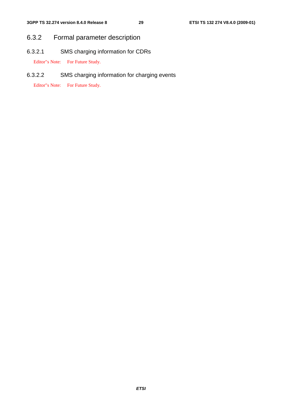## 6.3.2 Formal parameter description

6.3.2.1 SMS charging information for CDRs

Editor"s Note: For Future Study.

6.3.2.2 SMS charging information for charging events

Editor"s Note: For Future Study.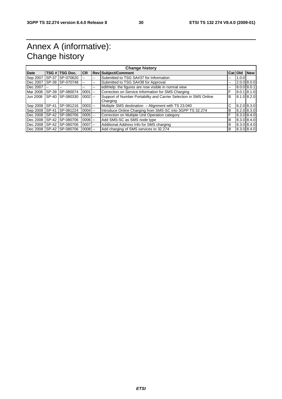## Annex A (informative): Change history

| <b>Change history</b> |         |                          |            |                          |                                                                   |         |                 |             |
|-----------------------|---------|--------------------------|------------|--------------------------|-------------------------------------------------------------------|---------|-----------------|-------------|
| <b>Date</b>           |         | TSG # TSG Doc.           | <b>CR</b>  |                          | <b>Rev Subject/Comment</b>                                        | Cat Old |                 | <b>New</b>  |
| Sep 2007              | SP-37   | SP-070620                |            | --                       | Submitted to TSG SA#37 for Information                            | --      | 1.0.0           |             |
| Dec 2007              | SP-38   | SP-070748                |            | $\overline{\phantom{a}}$ | Submitted to TSG SA#38 for Approval                               | --      | $2.0.0$ 8.0.0   |             |
| Dec 2007              | $-$     | --                       | --         | $-$                      | editHelp: the figures are now visible in normal view              | --      | 8.0.0   8.0.1   |             |
| Mar 2008              | SP-39   | SP-080074                | $0001$ --  |                          | Correction on Service Information for SMS Charging                | F       |                 | 8.0.1 8.1.0 |
| <b>Jun 2008</b>       | $SP-40$ | SP-080330                | $0002$ --  |                          | Support of Number Portability and Carrier Selection in SMS Online | B       | $8.1.0$ $8.2.0$ |             |
|                       |         |                          |            |                          | Charging                                                          |         |                 |             |
| Sep 2008              | SP-41   | SP-081216                | $0003$ --  |                          | Multiple SMS destination - Alignment with TS 23.040               | C       | 8.2.0 8.3.0     |             |
| Sep 2008              | SP-41   | SP-081224                | $0004$ --  |                          | Introduce Online Charging from SMS-SC into 3GPP TS 32.274         | в       | 8.2.0 8.3.0     |             |
|                       |         | Dec 2008 SP-42 SP-080706 | $0005$ $-$ |                          | Correction on Multiple Unit Operation category                    | F       | 8.3.0 8.4.0     |             |
| Dec 2008              | SP-42   | SP-080706                | $0006$ $-$ |                          | Add SMS-SC as SMS node type                                       | B       | 8.3.0 8.4.0     |             |
| Dec 2008              |         | SP-42 SP-080706          | $0007$ --  |                          | Additional Address Info for SMS charging                          | B       | 8.3.0 8.4.0     |             |
|                       |         | Dec 2008 SP-42 SP-080706 | $0008$ --  |                          | Add charging of SMS services to 32.274                            | B       | 8.3.0 8.4.0     |             |